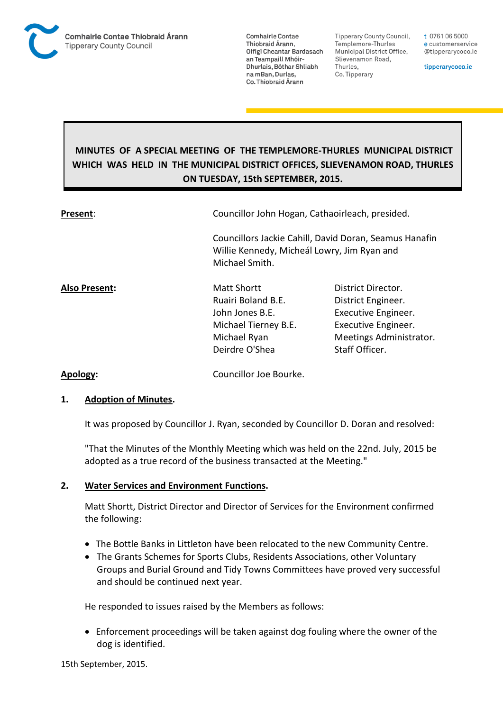

**Tipperary County Council,** Templemore-Thurles Municipal District Office, Slievenamon Road, Thurles, Co. Tipperary

t 0761 06 5000 e customerservice @tipperarycoco.ie

tipperarycoco.ie

# **MINUTES OF A SPECIAL MEETING OF THE TEMPLEMORE-THURLES MUNICIPAL DISTRICT WHICH WAS HELD IN THE MUNICIPAL DISTRICT OFFICES, SLIEVENAMON ROAD, THURLES ON TUESDAY, 15th SEPTEMBER, 2015.**

| Present:      | Councillor John Hogan, Cathaoirleach, presided.                                                                       |                                                                                                                                     |  |
|---------------|-----------------------------------------------------------------------------------------------------------------------|-------------------------------------------------------------------------------------------------------------------------------------|--|
|               | Willie Kennedy, Micheál Lowry, Jim Ryan and<br>Michael Smith.                                                         | Councillors Jackie Cahill, David Doran, Seamus Hanafin                                                                              |  |
| Also Present: | <b>Matt Shortt</b><br>Ruairi Boland B.E.<br>John Jones B.E.<br>Michael Tierney B.E.<br>Michael Ryan<br>Deirdre O'Shea | District Director.<br>District Engineer.<br>Executive Engineer.<br>Executive Engineer.<br>Meetings Administrator.<br>Staff Officer. |  |
|               |                                                                                                                       |                                                                                                                                     |  |

**Apology:** Councillor Joe Bourke.

## **1. Adoption of Minutes.**

It was proposed by Councillor J. Ryan, seconded by Councillor D. Doran and resolved:

"That the Minutes of the Monthly Meeting which was held on the 22nd. July, 2015 be adopted as a true record of the business transacted at the Meeting."

## **2. Water Services and Environment Functions.**

Matt Shortt, District Director and Director of Services for the Environment confirmed the following:

- The Bottle Banks in Littleton have been relocated to the new Community Centre.
- The Grants Schemes for Sports Clubs, Residents Associations, other Voluntary Groups and Burial Ground and Tidy Towns Committees have proved very successful and should be continued next year.

He responded to issues raised by the Members as follows:

 Enforcement proceedings will be taken against dog fouling where the owner of the dog is identified.

15th September, 2015.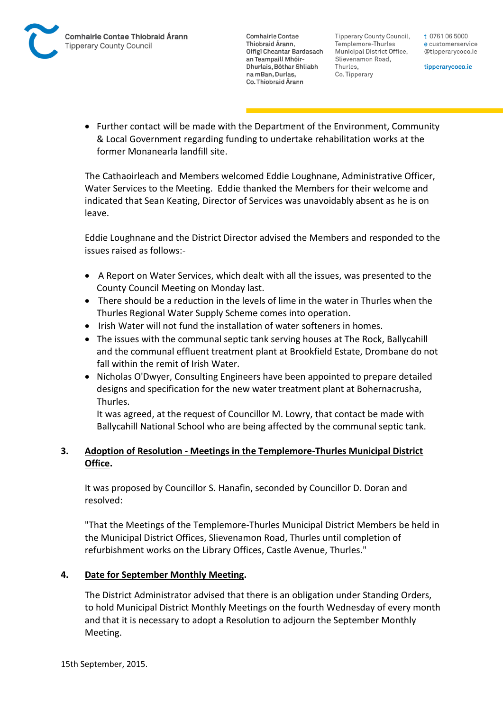Tipperary County Council. Templemore-Thurles Municipal District Office, Slievenamon Road, Thurles, Co. Tipperary

t 0761 06 5000 e customerservice @tipperarycoco.ie

tipperarycoco.ie

• Further contact will be made with the Department of the Environment, Community & Local Government regarding funding to undertake rehabilitation works at the former Monanearla landfill site.

The Cathaoirleach and Members welcomed Eddie Loughnane, Administrative Officer, Water Services to the Meeting. Eddie thanked the Members for their welcome and indicated that Sean Keating, Director of Services was unavoidably absent as he is on leave.

Eddie Loughnane and the District Director advised the Members and responded to the issues raised as follows:-

- A Report on Water Services, which dealt with all the issues, was presented to the County Council Meeting on Monday last.
- There should be a reduction in the levels of lime in the water in Thurles when the Thurles Regional Water Supply Scheme comes into operation.
- Irish Water will not fund the installation of water softeners in homes.
- The issues with the communal septic tank serving houses at The Rock, Ballycahill and the communal effluent treatment plant at Brookfield Estate, Drombane do not fall within the remit of Irish Water.
- Nicholas O'Dwyer, Consulting Engineers have been appointed to prepare detailed designs and specification for the new water treatment plant at Bohernacrusha, Thurles.

It was agreed, at the request of Councillor M. Lowry, that contact be made with Ballycahill National School who are being affected by the communal septic tank.

## **3. Adoption of Resolution - Meetings in the Templemore-Thurles Municipal District Office.**

It was proposed by Councillor S. Hanafin, seconded by Councillor D. Doran and resolved:

"That the Meetings of the Templemore-Thurles Municipal District Members be held in the Municipal District Offices, Slievenamon Road, Thurles until completion of refurbishment works on the Library Offices, Castle Avenue, Thurles."

## **4. Date for September Monthly Meeting.**

The District Administrator advised that there is an obligation under Standing Orders, to hold Municipal District Monthly Meetings on the fourth Wednesday of every month and that it is necessary to adopt a Resolution to adjourn the September Monthly Meeting.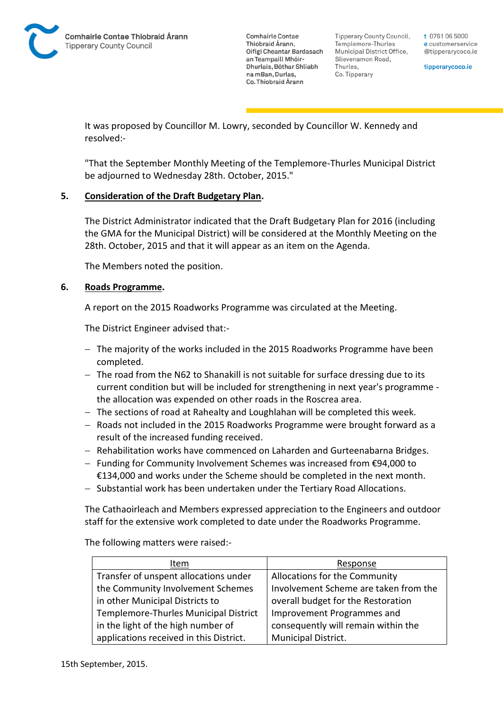

Tipperary County Council. Templemore-Thurles Municipal District Office, Slievenamon Road, Thurles, Co. Tipperary

t 0761 06 5000 e customerservice @tipperarycoco.ie

tipperarycoco.ie

It was proposed by Councillor M. Lowry, seconded by Councillor W. Kennedy and resolved:-

"That the September Monthly Meeting of the Templemore-Thurles Municipal District be adjourned to Wednesday 28th. October, 2015."

## **5. Consideration of the Draft Budgetary Plan.**

The District Administrator indicated that the Draft Budgetary Plan for 2016 (including the GMA for the Municipal District) will be considered at the Monthly Meeting on the 28th. October, 2015 and that it will appear as an item on the Agenda.

The Members noted the position.

## **6. Roads Programme.**

A report on the 2015 Roadworks Programme was circulated at the Meeting.

The District Engineer advised that:-

- The majority of the works included in the 2015 Roadworks Programme have been completed.
- $-$  The road from the N62 to Shanakill is not suitable for surface dressing due to its current condition but will be included for strengthening in next year's programme the allocation was expended on other roads in the Roscrea area.
- $-$  The sections of road at Rahealty and Loughlahan will be completed this week.
- Roads not included in the 2015 Roadworks Programme were brought forward as a result of the increased funding received.
- Rehabilitation works have commenced on Laharden and Gurteenabarna Bridges.
- Funding for Community Involvement Schemes was increased from €94,000 to €134,000 and works under the Scheme should be completed in the next month.
- Substantial work has been undertaken under the Tertiary Road Allocations.

The Cathaoirleach and Members expressed appreciation to the Engineers and outdoor staff for the extensive work completed to date under the Roadworks Programme.

The following matters were raised:-

| Item                                    | Response                              |
|-----------------------------------------|---------------------------------------|
| Transfer of unspent allocations under   | Allocations for the Community         |
| the Community Involvement Schemes       | Involvement Scheme are taken from the |
| in other Municipal Districts to         | overall budget for the Restoration    |
| Templemore-Thurles Municipal District   | Improvement Programmes and            |
| in the light of the high number of      | consequently will remain within the   |
| applications received in this District. | Municipal District.                   |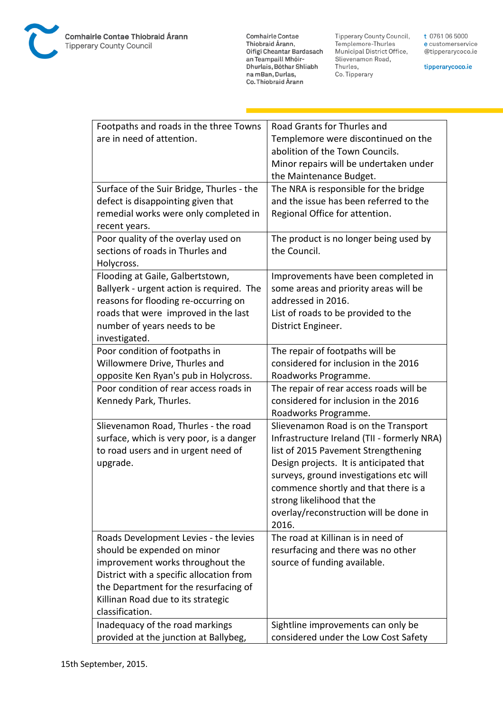

**Comhairle Contae** Commante Contae<br>Thiobraid Árann,<br>Oifigí Cheantar Bardasach an Teampaill Mhóir-Dhurlais, Bóthar Shliabh na mBan, Durlas,<br>Co. Thiobraid Árann

Tipperary County Council,<br>Templemore-Thurles<br>Municipal District Office, Slievenamon Road, Thurles, Co. Tipperary

t 0761 06 5000 e customerservice @tipperarycoco.ie

tipperarycoco.ie

| Footpaths and roads in the three Towns    | Road Grants for Thurles and                 |
|-------------------------------------------|---------------------------------------------|
| are in need of attention.                 | Templemore were discontinued on the         |
|                                           | abolition of the Town Councils.             |
|                                           |                                             |
|                                           | Minor repairs will be undertaken under      |
|                                           | the Maintenance Budget.                     |
| Surface of the Suir Bridge, Thurles - the | The NRA is responsible for the bridge       |
| defect is disappointing given that        | and the issue has been referred to the      |
| remedial works were only completed in     | Regional Office for attention.              |
| recent years.                             |                                             |
| Poor quality of the overlay used on       | The product is no longer being used by      |
| sections of roads in Thurles and          | the Council.                                |
| Holycross.                                |                                             |
| Flooding at Gaile, Galbertstown,          | Improvements have been completed in         |
| Ballyerk - urgent action is required. The | some areas and priority areas will be       |
| reasons for flooding re-occurring on      | addressed in 2016.                          |
| roads that were improved in the last      | List of roads to be provided to the         |
| number of years needs to be               | District Engineer.                          |
| investigated.                             |                                             |
| Poor condition of footpaths in            | The repair of footpaths will be             |
| Willowmere Drive, Thurles and             | considered for inclusion in the 2016        |
| opposite Ken Ryan's pub in Holycross.     | Roadworks Programme.                        |
| Poor condition of rear access roads in    | The repair of rear access roads will be     |
| Kennedy Park, Thurles.                    | considered for inclusion in the 2016        |
|                                           | Roadworks Programme.                        |
| Slievenamon Road, Thurles - the road      | Slievenamon Road is on the Transport        |
| surface, which is very poor, is a danger  | Infrastructure Ireland (TII - formerly NRA) |
| to road users and in urgent need of       | list of 2015 Pavement Strengthening         |
| upgrade.                                  | Design projects. It is anticipated that     |
|                                           | surveys, ground investigations etc will     |
|                                           | commence shortly and that there is a        |
|                                           | strong likelihood that the                  |
|                                           | overlay/reconstruction will be done in      |
|                                           | 2016.                                       |
| Roads Development Levies - the levies     | The road at Killinan is in need of          |
| should be expended on minor               | resurfacing and there was no other          |
| improvement works throughout the          | source of funding available.                |
| District with a specific allocation from  |                                             |
| the Department for the resurfacing of     |                                             |
|                                           |                                             |
| Killinan Road due to its strategic        |                                             |
| classification.                           |                                             |
| Inadequacy of the road markings           | Sightline improvements can only be          |
| provided at the junction at Ballybeg,     | considered under the Low Cost Safety        |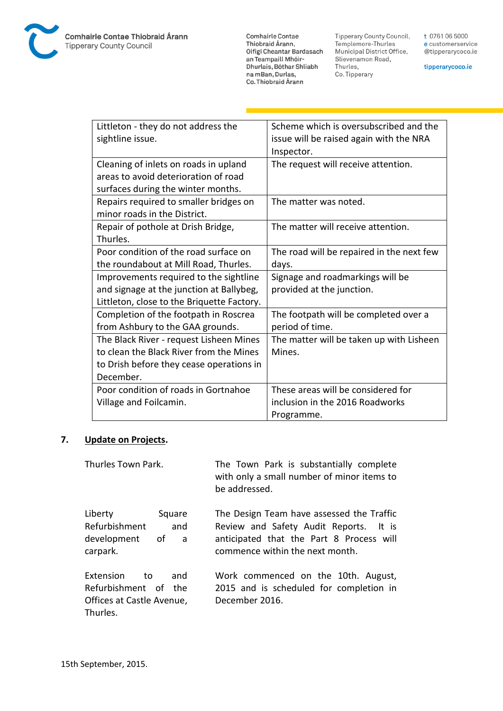

**Comhairle Contae** Commante Contae<br>Thiobraid Árann,<br>Oifigí Cheantar Bardasach an Teampaill Mhóir-Dhurlais, Bóthar Shliabh na mBan, Durlas,<br>Co. Thiobraid Árann

Tipperary County Council,<br>Templemore-Thurles<br>Municipal District Office, Slievenamon Road, Thurles, Co. Tipperary

t 0761 06 5000 e customerservice @tipperarycoco.ie

tipperarycoco.ie

| Littleton - they do not address the        | Scheme which is oversubscribed and the    |
|--------------------------------------------|-------------------------------------------|
| sightline issue.                           | issue will be raised again with the NRA   |
|                                            | Inspector.                                |
| Cleaning of inlets on roads in upland      | The request will receive attention.       |
| areas to avoid deterioration of road       |                                           |
| surfaces during the winter months.         |                                           |
| Repairs required to smaller bridges on     | The matter was noted.                     |
| minor roads in the District.               |                                           |
| Repair of pothole at Drish Bridge,         | The matter will receive attention.        |
| Thurles.                                   |                                           |
| Poor condition of the road surface on      | The road will be repaired in the next few |
| the roundabout at Mill Road, Thurles.      | days.                                     |
| Improvements required to the sightline     | Signage and roadmarkings will be          |
| and signage at the junction at Ballybeg,   | provided at the junction.                 |
| Littleton, close to the Briquette Factory. |                                           |
| Completion of the footpath in Roscrea      | The footpath will be completed over a     |
| from Ashbury to the GAA grounds.           | period of time.                           |
| The Black River - request Lisheen Mines    | The matter will be taken up with Lisheen  |
| to clean the Black River from the Mines    | Mines.                                    |
| to Drish before they cease operations in   |                                           |
| December.                                  |                                           |
| Poor condition of roads in Gortnahoe       | These areas will be considered for        |
| Village and Foilcamin.                     | inclusion in the 2016 Roadworks           |
|                                            | Programme.                                |

## **7. Update on Projects.**

| Thurles Town Park.                                                                      | The Town Park is substantially complete<br>with only a small number of minor items to<br>be addressed.                                                             |
|-----------------------------------------------------------------------------------------|--------------------------------------------------------------------------------------------------------------------------------------------------------------------|
| Liberty<br>Square<br>Refurbishment<br>and<br>development<br>of a<br>carpark.            | The Design Team have assessed the Traffic<br>Review and Safety Audit Reports. It is<br>anticipated that the Part 8 Process will<br>commence within the next month. |
| Extension<br>and<br>to<br>Refurbishment of the<br>Offices at Castle Avenue,<br>Thurles. | Work commenced on the 10th. August,<br>2015 and is scheduled for completion in<br>December 2016.                                                                   |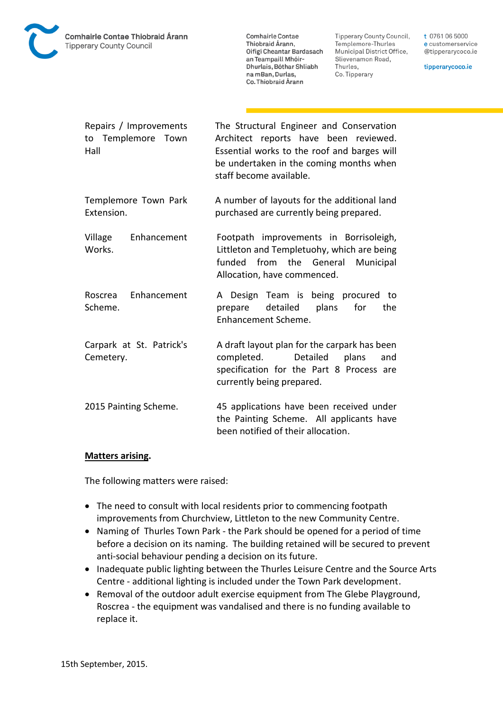

Tipperary County Council, Templemore-Thurles Municipal District Office, Slievenamon Road, Thurles, Co. Tipperary

t 0761 06 5000 e customerservice @tipperarycoco.ie

tipperarycoco.ie

| Repairs / Improvements<br>to Templemore Town<br>Hall | The Structural Engineer and Conservation<br>Architect reports have been reviewed.<br>Essential works to the roof and barges will<br>be undertaken in the coming months when<br>staff become available. |
|------------------------------------------------------|--------------------------------------------------------------------------------------------------------------------------------------------------------------------------------------------------------|
| Templemore Town Park<br>Extension.                   | A number of layouts for the additional land<br>purchased are currently being prepared.                                                                                                                 |
| Enhancement<br>Village<br>Works.                     | Footpath improvements in Borrisoleigh,<br>Littleton and Templetuohy, which are being<br>funded<br>from the General<br>Municipal<br>Allocation, have commenced.                                         |
| Enhancement<br>Roscrea<br>Scheme.                    | A Design Team is being procured to<br>detailed<br>plans<br>for<br>the<br>prepare<br>Enhancement Scheme.                                                                                                |
| Carpark at St. Patrick's<br>Cemetery.                | A draft layout plan for the carpark has been<br>completed. Detailed<br>plans<br>and<br>specification for the Part 8 Process are<br>currently being prepared.                                           |
| 2015 Painting Scheme.                                | 45 applications have been received under<br>the Painting Scheme. All applicants have<br>been notified of their allocation.                                                                             |

#### **Matters arising.**

The following matters were raised:

- The need to consult with local residents prior to commencing footpath improvements from Churchview, Littleton to the new Community Centre.
- Naming of Thurles Town Park the Park should be opened for a period of time before a decision on its naming. The building retained will be secured to prevent anti-social behaviour pending a decision on its future.
- Inadequate public lighting between the Thurles Leisure Centre and the Source Arts Centre - additional lighting is included under the Town Park development.
- Removal of the outdoor adult exercise equipment from The Glebe Playground, Roscrea - the equipment was vandalised and there is no funding available to replace it.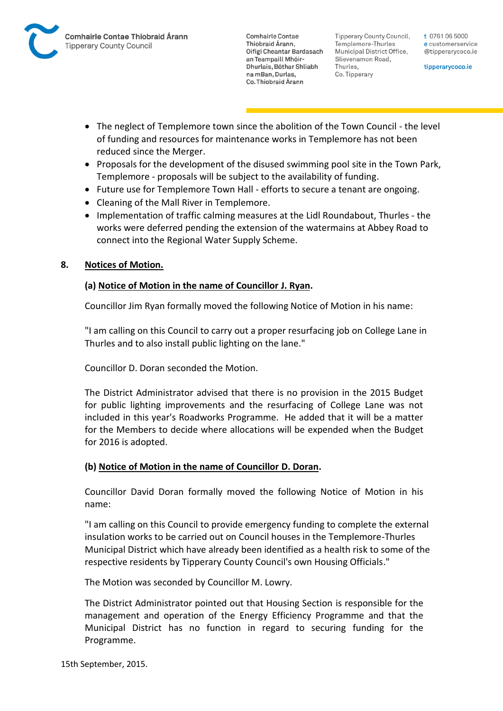

Tipperary County Council. Templemore-Thurles Municipal District Office, Slievenamon Road, Thurles, Co. Tipperary

t 0761 06 5000 e customerservice @tipperarycoco.ie

tipperarycoco.ie

- The neglect of Templemore town since the abolition of the Town Council the level of funding and resources for maintenance works in Templemore has not been reduced since the Merger.
- Proposals for the development of the disused swimming pool site in the Town Park, Templemore - proposals will be subject to the availability of funding.
- Future use for Templemore Town Hall efforts to secure a tenant are ongoing.
- Cleaning of the Mall River in Templemore.
- Implementation of traffic calming measures at the Lidl Roundabout, Thurles the works were deferred pending the extension of the watermains at Abbey Road to connect into the Regional Water Supply Scheme.

## **8. Notices of Motion.**

## **(a) Notice of Motion in the name of Councillor J. Ryan.**

Councillor Jim Ryan formally moved the following Notice of Motion in his name:

"I am calling on this Council to carry out a proper resurfacing job on College Lane in Thurles and to also install public lighting on the lane."

Councillor D. Doran seconded the Motion.

The District Administrator advised that there is no provision in the 2015 Budget for public lighting improvements and the resurfacing of College Lane was not included in this year's Roadworks Programme. He added that it will be a matter for the Members to decide where allocations will be expended when the Budget for 2016 is adopted.

## **(b) Notice of Motion in the name of Councillor D. Doran.**

Councillor David Doran formally moved the following Notice of Motion in his name:

"I am calling on this Council to provide emergency funding to complete the external insulation works to be carried out on Council houses in the Templemore-Thurles Municipal District which have already been identified as a health risk to some of the respective residents by Tipperary County Council's own Housing Officials."

The Motion was seconded by Councillor M. Lowry.

The District Administrator pointed out that Housing Section is responsible for the management and operation of the Energy Efficiency Programme and that the Municipal District has no function in regard to securing funding for the Programme.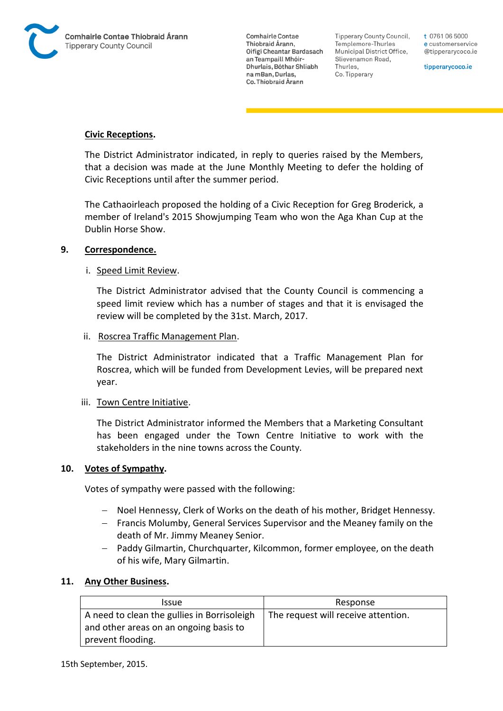

Tipperary County Council. Templemore-Thurles Municipal District Office, Slievenamon Road, Thurles, Co. Tipperary

t 0761 06 5000 e customerservice @tipperarycoco.ie

tipperarycoco.ie

### **Civic Receptions.**

The District Administrator indicated, in reply to queries raised by the Members, that a decision was made at the June Monthly Meeting to defer the holding of Civic Receptions until after the summer period.

The Cathaoirleach proposed the holding of a Civic Reception for Greg Broderick, a member of Ireland's 2015 Showjumping Team who won the Aga Khan Cup at the Dublin Horse Show.

#### **9. Correspondence.**

#### i. Speed Limit Review.

The District Administrator advised that the County Council is commencing a speed limit review which has a number of stages and that it is envisaged the review will be completed by the 31st. March, 2017.

#### ii. Roscrea Traffic Management Plan.

The District Administrator indicated that a Traffic Management Plan for Roscrea, which will be funded from Development Levies, will be prepared next year.

#### iii. Town Centre Initiative.

The District Administrator informed the Members that a Marketing Consultant has been engaged under the Town Centre Initiative to work with the stakeholders in the nine towns across the County.

#### **10. Votes of Sympathy.**

Votes of sympathy were passed with the following:

- Noel Hennessy, Clerk of Works on the death of his mother, Bridget Hennessy.
- Francis Molumby, General Services Supervisor and the Meaney family on the death of Mr. Jimmy Meaney Senior.
- Paddy Gilmartin, Churchquarter, Kilcommon, former employee, on the death of his wife, Mary Gilmartin.

## **11. Any Other Business.**

| Issue                                       | Response                            |
|---------------------------------------------|-------------------------------------|
| A need to clean the gullies in Borrisoleigh | The request will receive attention. |
| and other areas on an ongoing basis to      |                                     |
| prevent flooding.                           |                                     |